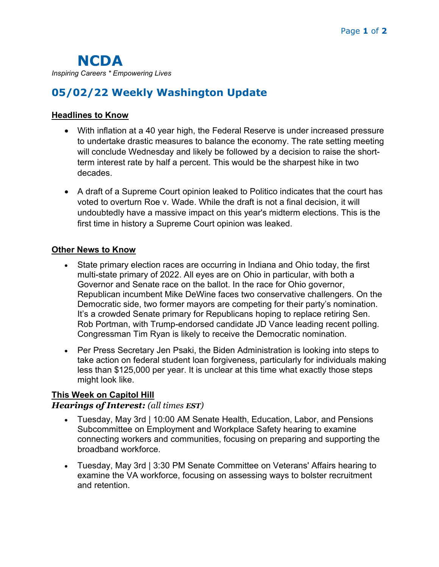NCDA Inspiring Careers \* Empowering Lives

# 05/02/22 Weekly Washington Update

#### Headlines to Know

- With inflation at a 40 year high, the Federal Reserve is under increased pressure to undertake drastic measures to balance the economy. The rate setting meeting will conclude Wednesday and likely be followed by a decision to raise the shortterm interest rate by half a percent. This would be the sharpest hike in two decades.
- A draft of a Supreme Court opinion leaked to Politico indicates that the court has voted to overturn Roe v. Wade. While the draft is not a final decision, it will undoubtedly have a massive impact on this year's midterm elections. This is the first time in history a Supreme Court opinion was leaked.

#### Other News to Know

- State primary election races are occurring in Indiana and Ohio today, the first multi-state primary of 2022. All eyes are on Ohio in particular, with both a Governor and Senate race on the ballot. In the race for Ohio governor, Republican incumbent Mike DeWine faces two conservative challengers. On the Democratic side, two former mayors are competing for their party's nomination. It's a crowded Senate primary for Republicans hoping to replace retiring Sen. Rob Portman, with Trump-endorsed candidate JD Vance leading recent polling. Congressman Tim Ryan is likely to receive the Democratic nomination.
- Per Press Secretary Jen Psaki, the Biden Administration is looking into steps to take action on federal student loan forgiveness, particularly for individuals making less than \$125,000 per year. It is unclear at this time what exactly those steps might look like.

#### This Week on Capitol Hill

#### Hearings of Interest: (all times EST)

- Tuesday, May 3rd | 10:00 AM Senate Health, Education, Labor, and Pensions Subcommittee on Employment and Workplace Safety hearing to examine connecting workers and communities, focusing on preparing and supporting the broadband workforce.
- Tuesday, May 3rd | 3:30 PM Senate Committee on Veterans' Affairs hearing to examine the VA workforce, focusing on assessing ways to bolster recruitment and retention.